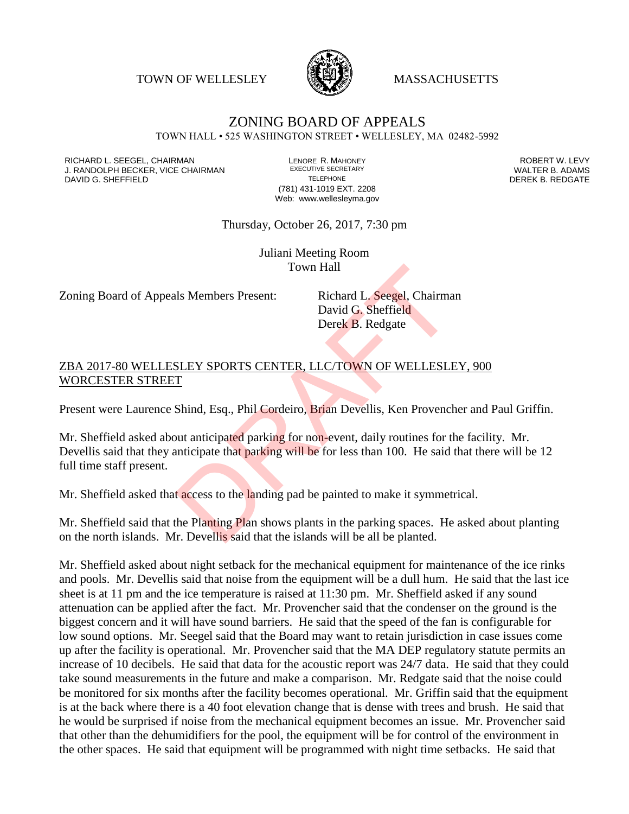TOWN OF WELLESLEY **WASSACHUSETTS** 



## ZONING BOARD OF APPEALS TOWN HALL • 525 WASHINGTON STREET • WELLESLEY, MA 02482-5992

RICHARD L. SEEGEL, CHAIRMAN LENORE R. MAHONEY ROBERT W. LEVY J. RANDOLPH BECKER, VICE CHAIRMAN EXECUTIVE SECRETARY THE SANDOLPH BECKER B. ADAMS<br>DEREK B. REDGATE TELEPHONE THE THE THE SAND DEREK B. REDGATE

(781) 431-1019 EXT. 2208 Web: www.wellesleyma.gov DEREK B. REDGATE

Thursday, October 26, 2017, 7:30 pm

Juliani Meeting Room Town Hall

Zoning Board of Appeals Members Present: Richard L. Seegel, Chairman

David G. Sheffield Derek B. Redgate

## ZBA 2017-80 WELLESLEY SPORTS CENTER, LLC/TOWN OF WELLESLEY, 900 WORCESTER STREET

Present were Laurence Shind, Esq., Phil Cordeiro, Brian Devellis, Ken Provencher and Paul Griffin.

Mr. Sheffield asked about anticipated parking for non-event, daily routines for the facility. Mr. Devellis said that they anticipate that parking will be for less than 100. He said that there will be 12 full time staff present. Town Hall<br>
Ils Members Present: Richard L. Seegel, Chairma<br>
David G. Sheffield<br>
Derek B. Redgate<br>
SLEY SPORTS CENTER, LLC/TOWN OF WELLESLE<br>
T<br>
Shind, Esq., Phil Cordeiro, Brian Devellis, Ken Provench<br>
out anticipated parki

Mr. Sheffield asked that access to the landing pad be painted to make it symmetrical.

Mr. Sheffield said that the Planting Plan shows plants in the parking spaces. He asked about planting on the north islands. Mr. Devellis said that the islands will be all be planted.

Mr. Sheffield asked about night setback for the mechanical equipment for maintenance of the ice rinks and pools. Mr. Devellis said that noise from the equipment will be a dull hum. He said that the last ice sheet is at 11 pm and the ice temperature is raised at 11:30 pm. Mr. Sheffield asked if any sound attenuation can be applied after the fact. Mr. Provencher said that the condenser on the ground is the biggest concern and it will have sound barriers. He said that the speed of the fan is configurable for low sound options. Mr. Seegel said that the Board may want to retain jurisdiction in case issues come up after the facility is operational. Mr. Provencher said that the MA DEP regulatory statute permits an increase of 10 decibels. He said that data for the acoustic report was 24/7 data. He said that they could take sound measurements in the future and make a comparison. Mr. Redgate said that the noise could be monitored for six months after the facility becomes operational. Mr. Griffin said that the equipment is at the back where there is a 40 foot elevation change that is dense with trees and brush. He said that he would be surprised if noise from the mechanical equipment becomes an issue. Mr. Provencher said that other than the dehumidifiers for the pool, the equipment will be for control of the environment in the other spaces. He said that equipment will be programmed with night time setbacks. He said that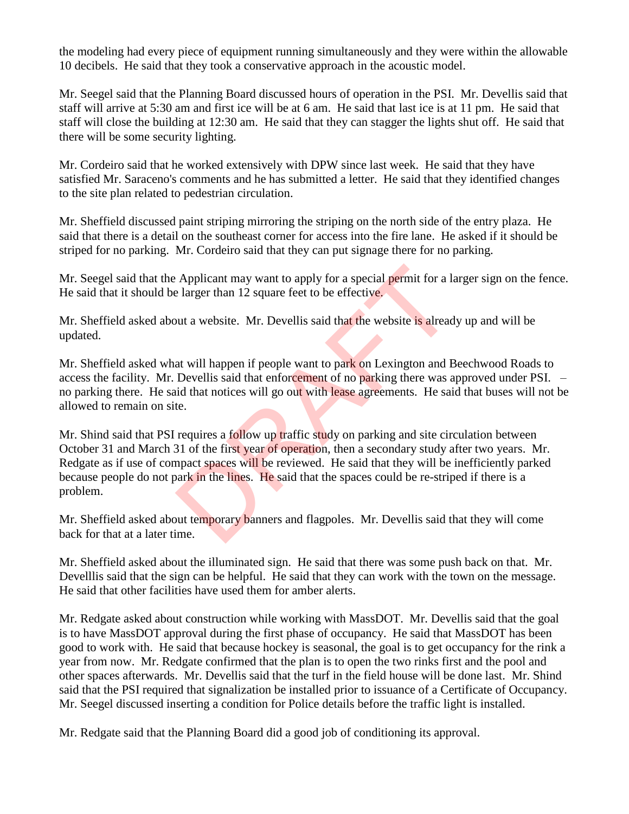the modeling had every piece of equipment running simultaneously and they were within the allowable 10 decibels. He said that they took a conservative approach in the acoustic model.

Mr. Seegel said that the Planning Board discussed hours of operation in the PSI. Mr. Devellis said that staff will arrive at 5:30 am and first ice will be at 6 am. He said that last ice is at 11 pm. He said that staff will close the building at 12:30 am. He said that they can stagger the lights shut off. He said that there will be some security lighting.

Mr. Cordeiro said that he worked extensively with DPW since last week. He said that they have satisfied Mr. Saraceno's comments and he has submitted a letter. He said that they identified changes to the site plan related to pedestrian circulation.

Mr. Sheffield discussed paint striping mirroring the striping on the north side of the entry plaza. He said that there is a detail on the southeast corner for access into the fire lane. He asked if it should be striped for no parking. Mr. Cordeiro said that they can put signage there for no parking.

Mr. Seegel said that the Applicant may want to apply for a special permit for a larger sign on the fence. He said that it should be larger than 12 square feet to be effective.

Mr. Sheffield asked about a website. Mr. Devellis said that the website is already up and will be updated.

Mr. Sheffield asked what will happen if people want to park on Lexington and Beechwood Roads to access the facility. Mr. Devellis said that enforcement of no parking there was approved under PSI. – no parking there. He said that notices will go out with lease agreements. He said that buses will not be allowed to remain on site.

Mr. Shind said that PSI requires a follow up traffic study on parking and site circulation between October 31 and March 31 of the first year of operation, then a secondary study after two years. Mr. Redgate as if use of compact spaces will be reviewed. He said that they will be inefficiently parked because people do not park in the lines. He said that the spaces could be re-striped if there is a problem. Applicant may want to apply for a special permit for a langer than 12 square feet to be effective.<br>
Suit a website. Mr. Devellis said that the website is alread<br>
at will happen if people want to park on Lexington and E<br>
De

Mr. Sheffield asked about temporary banners and flagpoles. Mr. Devellis said that they will come back for that at a later time.

Mr. Sheffield asked about the illuminated sign. He said that there was some push back on that. Mr. Develllis said that the sign can be helpful. He said that they can work with the town on the message. He said that other facilities have used them for amber alerts.

Mr. Redgate asked about construction while working with MassDOT. Mr. Devellis said that the goal is to have MassDOT approval during the first phase of occupancy. He said that MassDOT has been good to work with. He said that because hockey is seasonal, the goal is to get occupancy for the rink a year from now. Mr. Redgate confirmed that the plan is to open the two rinks first and the pool and other spaces afterwards. Mr. Devellis said that the turf in the field house will be done last. Mr. Shind said that the PSI required that signalization be installed prior to issuance of a Certificate of Occupancy. Mr. Seegel discussed inserting a condition for Police details before the traffic light is installed.

Mr. Redgate said that the Planning Board did a good job of conditioning its approval.